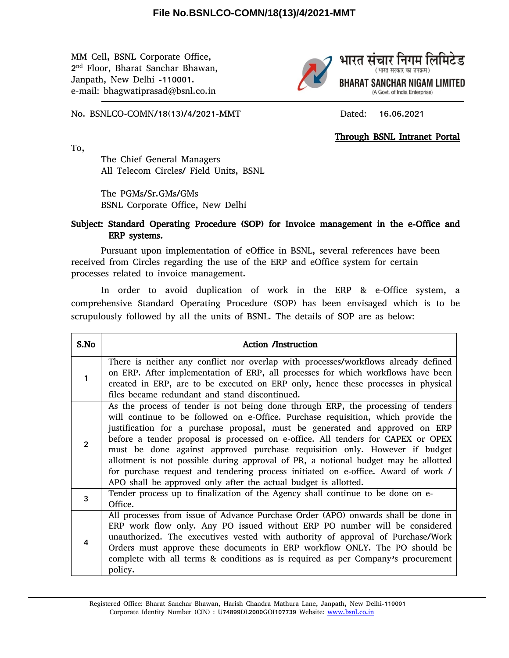## **File No.BSNLCO-COMN/18(13)/4/2021-MMT**

MM Cell, BSNL Corporate Office, 2 nd Floor, Bharat Sanchar Bhawan, Janpath, New Delhi -110001. e-mail: bhagwatiprasad@bsnl.co.in



No. BSNLCO-COMN/18(13)/4/2021-MMT Dated: 16.06.2021

**Through BSNL Intranet Portal**

To,

The Chief General Managers All Telecom Circles/ Field Units, BSNL

The PGMs/Sr.GMs/GMs BSNL Corporate Office, New Delhi

## **Subject: Standard Operating Procedure (SOP) for Invoice management in the e-Office and ERP systems.**

Pursuant upon implementation of eOffice in BSNL, several references have been received from Circles regarding the use of the ERP and eOffice system for certain processes related to invoice management.

In order to avoid duplication of work in the ERP & e-Office system, a comprehensive Standard Operating Procedure (SOP) has been envisaged which is to be scrupulously followed by all the units of BSNL. The details of SOP are as below:

| S.No           | <b>Action /Instruction</b>                                                                                                                                                                                                                                                                                                                                                                                                                                                                                                                                                                                                                                             |
|----------------|------------------------------------------------------------------------------------------------------------------------------------------------------------------------------------------------------------------------------------------------------------------------------------------------------------------------------------------------------------------------------------------------------------------------------------------------------------------------------------------------------------------------------------------------------------------------------------------------------------------------------------------------------------------------|
| 1              | There is neither any conflict nor overlap with processes/workflows already defined<br>on ERP. After implementation of ERP, all processes for which workflows have been<br>created in ERP, are to be executed on ERP only, hence these processes in physical<br>files became redundant and stand discontinued.                                                                                                                                                                                                                                                                                                                                                          |
| $\overline{2}$ | As the process of tender is not being done through ERP, the processing of tenders<br>will continue to be followed on e-Office. Purchase requisition, which provide the<br>justification for a purchase proposal, must be generated and approved on ERP<br>before a tender proposal is processed on e-office. All tenders for CAPEX or OPEX<br>must be done against approved purchase requisition only. However if budget<br>allotment is not possible during approval of PR, a notional budget may be allotted<br>for purchase request and tendering process initiated on e-office. Award of work /<br>APO shall be approved only after the actual budget is allotted. |
| 3              | Tender process up to finalization of the Agency shall continue to be done on e-<br>Office.                                                                                                                                                                                                                                                                                                                                                                                                                                                                                                                                                                             |
| 4              | All processes from issue of Advance Purchase Order (APO) onwards shall be done in<br>ERP work flow only. Any PO issued without ERP PO number will be considered<br>unauthorized. The executives vested with authority of approval of Purchase/Work<br>Orders must approve these documents in ERP workflow ONLY. The PO should be<br>complete with all terms & conditions as is required as per Company's procurement<br>policy.                                                                                                                                                                                                                                        |